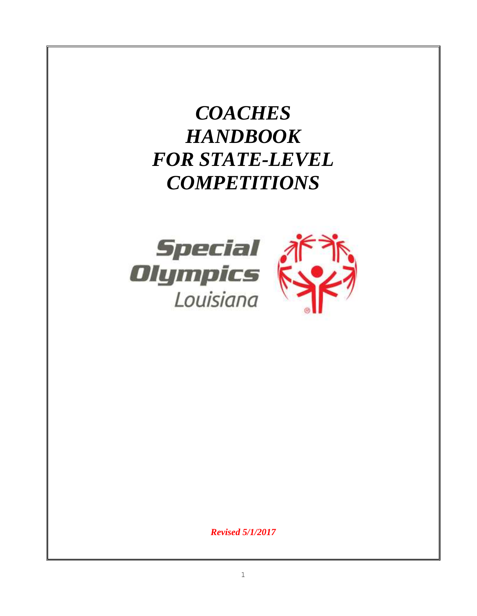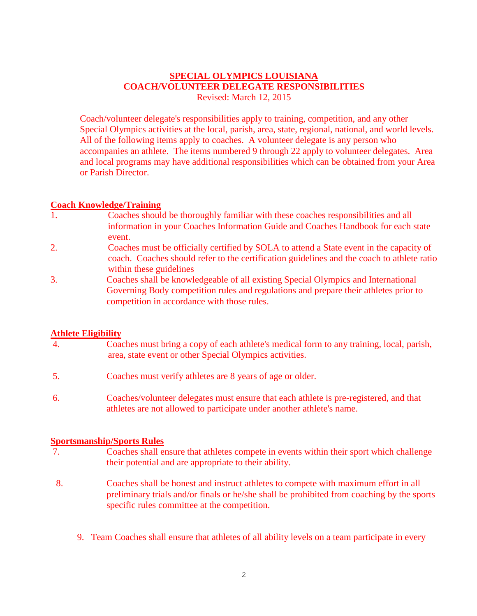## **SPECIAL OLYMPICS LOUISIANA COACH/VOLUNTEER DELEGATE RESPONSIBILITIES** Revised: March 12, 2015

Coach/volunteer delegate's responsibilities apply to training, competition, and any other Special Olympics activities at the local, parish, area, state, regional, national, and world levels. All of the following items apply to coaches. A volunteer delegate is any person who accompanies an athlete. The items numbered 9 through 22 apply to volunteer delegates. Area and local programs may have additional responsibilities which can be obtained from your Area or Parish Director.

## **Coach Knowledge/Training**

- 1. Coaches should be thoroughly familiar with these coaches responsibilities and all information in your Coaches Information Guide and Coaches Handbook for each state event.
- 2. Coaches must be officially certified by SOLA to attend a State event in the capacity of coach. Coaches should refer to the certification guidelines and the coach to athlete ratio within these guidelines
- 3. Coaches shall be knowledgeable of all existing Special Olympics and International Governing Body competition rules and regulations and prepare their athletes prior to competition in accordance with those rules.

## **Athlete Eligibility**

- 4. Coaches must bring a copy of each athlete's medical form to any training, local, parish, area, state event or other Special Olympics activities.
- 5. Coaches must verify athletes are 8 years of age or older.
- 6. Coaches/volunteer delegates must ensure that each athlete is pre-registered, and that athletes are not allowed to participate under another athlete's name.

## **Sportsmanship/Sports Rules**

- 7. Coaches shall ensure that athletes compete in events within their sport which challenge their potential and are appropriate to their ability.
- 8. Coaches shall be honest and instruct athletes to compete with maximum effort in all preliminary trials and/or finals or he/she shall be prohibited from coaching by the sports specific rules committee at the competition.
	- 9. Team Coaches shall ensure that athletes of all ability levels on a team participate in every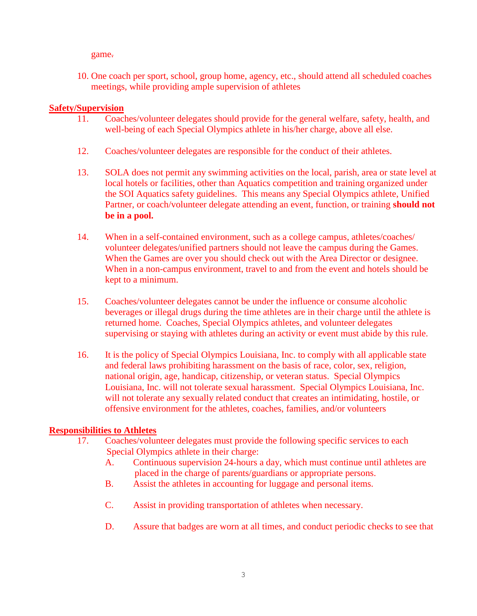game.

10. One coach per sport, school, group home, agency, etc., should attend all scheduled coaches meetings, while providing ample supervision of athletes

## **Safety/Supervision**

- 11. Coaches/volunteer delegates should provide for the general welfare, safety, health, and well-being of each Special Olympics athlete in his/her charge, above all else.
- 12. Coaches/volunteer delegates are responsible for the conduct of their athletes.
- 13. SOLA does not permit any swimming activities on the local, parish, area or state level at local hotels or facilities, other than Aquatics competition and training organized under the SOI Aquatics safety guidelines. This means any Special Olympics athlete, Unified Partner, or coach/volunteer delegate attending an event, function, or training **should not be in a pool.**
- 14. When in a self-contained environment, such as a college campus, athletes/coaches/ volunteer delegates/unified partners should not leave the campus during the Games. When the Games are over you should check out with the Area Director or designee. When in a non-campus environment, travel to and from the event and hotels should be kept to a minimum.
- 15. Coaches/volunteer delegates cannot be under the influence or consume alcoholic beverages or illegal drugs during the time athletes are in their charge until the athlete is returned home. Coaches, Special Olympics athletes, and volunteer delegates supervising or staying with athletes during an activity or event must abide by this rule.
- 16. It is the policy of Special Olympics Louisiana, Inc. to comply with all applicable state and federal laws prohibiting harassment on the basis of race, color, sex, religion, national origin, age, handicap, citizenship, or veteran status. Special Olympics Louisiana, Inc. will not tolerate sexual harassment. Special Olympics Louisiana, Inc. will not tolerate any sexually related conduct that creates an intimidating, hostile, or offensive environment for the athletes, coaches, families, and/or volunteers

### **Responsibilities to Athletes**

- 17. Coaches/volunteer delegates must provide the following specific services to each Special Olympics athlete in their charge:
	- A. Continuous supervision 24-hours a day, which must continue until athletes are placed in the charge of parents/guardians or appropriate persons.
	- B. Assist the athletes in accounting for luggage and personal items.
	- C. Assist in providing transportation of athletes when necessary.
	- D. Assure that badges are worn at all times, and conduct periodic checks to see that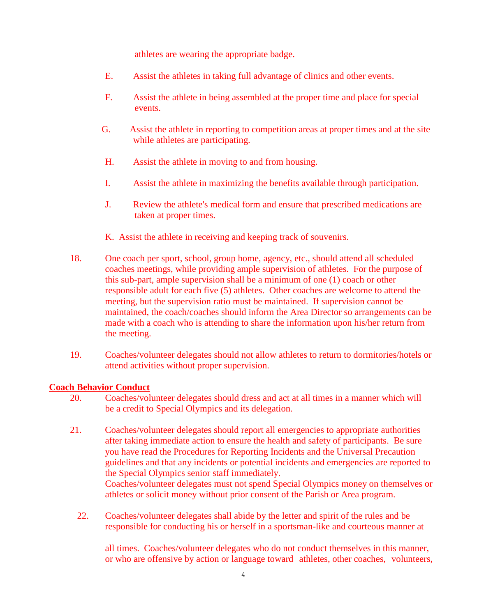athletes are wearing the appropriate badge.

- E. Assist the athletes in taking full advantage of clinics and other events.
- F. Assist the athlete in being assembled at the proper time and place for special events.
- G. Assist the athlete in reporting to competition areas at proper times and at the site while athletes are participating.
- H. Assist the athlete in moving to and from housing.
- I. Assist the athlete in maximizing the benefits available through participation.
- J. Review the athlete's medical form and ensure that prescribed medications are taken at proper times.
- K. Assist the athlete in receiving and keeping track of souvenirs.
- 18. One coach per sport, school, group home, agency, etc., should attend all scheduled coaches meetings, while providing ample supervision of athletes. For the purpose of this sub-part, ample supervision shall be a minimum of one (1) coach or other responsible adult for each five (5) athletes. Other coaches are welcome to attend the meeting, but the supervision ratio must be maintained. If supervision cannot be maintained, the coach/coaches should inform the Area Director so arrangements can be made with a coach who is attending to share the information upon his/her return from the meeting.
- 19. Coaches/volunteer delegates should not allow athletes to return to dormitories/hotels or attend activities without proper supervision.

### **Coach Behavior Conduct**

- 20. Coaches/volunteer delegates should dress and act at all times in a manner which will be a credit to Special Olympics and its delegation.
- 21. Coaches/volunteer delegates should report all emergencies to appropriate authorities after taking immediate action to ensure the health and safety of participants. Be sure you have read the Procedures for Reporting Incidents and the Universal Precaution guidelines and that any incidents or potential incidents and emergencies are reported to the Special Olympics senior staff immediately. Coaches/volunteer delegates must not spend Special Olympics money on themselves or athletes or solicit money without prior consent of the Parish or Area program.
	- 22. Coaches/volunteer delegates shall abide by the letter and spirit of the rules and be responsible for conducting his or herself in a sportsman-like and courteous manner at

all times. Coaches/volunteer delegates who do not conduct themselves in this manner, or who are offensive by action or language toward athletes, other coaches, volunteers,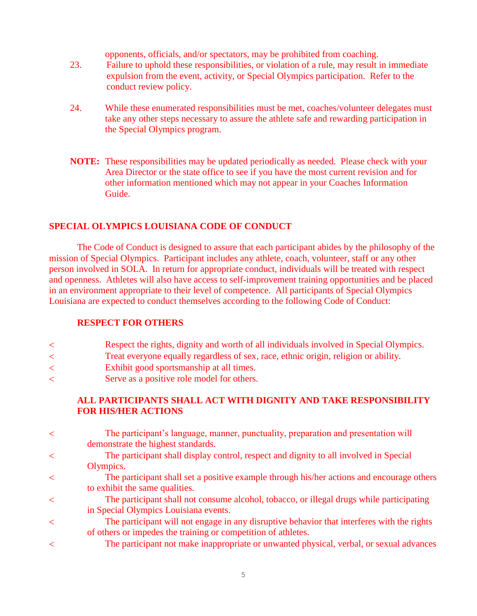opponents, officials, and/or spectators, may be prohibited from coaching.

- 23. Failure to uphold these responsibilities, or violation of a rule, may result in immediate expulsion from the event, activity, or Special Olympics participation. Refer to the conduct review policy.
- 24. While these enumerated responsibilities must be met, coaches/volunteer delegates must take any other steps necessary to assure the athlete safe and rewarding participation in the Special Olympics program.
- **NOTE:** These responsibilities may be updated periodically as needed. Please check with your Area Director or the state office to see if you have the most current revision and for other information mentioned which may not appear in your Coaches Information Guide.

## **SPECIAL OLYMPICS LOUISIANA CODE OF CONDUCT**

The Code of Conduct is designed to assure that each participant abides by the philosophy of the mission of Special Olympics. Participant includes any athlete, coach, volunteer, staff or any other person involved in SOLA. In return for appropriate conduct, individuals will be treated with respect and openness. Athletes will also have access to self-improvement training opportunities and be placed in an environment appropriate to their level of competence. All participants of Special Olympics Louisiana are expected to conduct themselves according to the following Code of Conduct:

## **RESPECT FOR OTHERS**

- Respect the rights, dignity and worth of all individuals involved in Special Olympics.
- Treat everyone equally regardless of sex, race, ethnic origin, religion or ability.
- Exhibit good sportsmanship at all times.
- Serve as a positive role model for others.

## **ALL PARTICIPANTS SHALL ACT WITH DIGNITY AND TAKE RESPONSIBILITY FOR HIS/HER ACTIONS**

| $\,<\,$ | The participant's language, manner, punctuality, preparation and presentation will         |
|---------|--------------------------------------------------------------------------------------------|
|         | demonstrate the highest standards.                                                         |
| $\,<\,$ | The participant shall display control, respect and dignity to all involved in Special      |
|         | Olympics.                                                                                  |
| $\prec$ | The participant shall set a positive example through his/her actions and encourage others  |
|         | to exhibit the same qualities.                                                             |
| $\prec$ | The participant shall not consume alcohol, tobacco, or illegal drugs while participating   |
|         | in Special Olympics Louisiana events.                                                      |
| $\lt$   | The participant will not engage in any disruptive behavior that interferes with the rights |
|         | of others or impedes the training or competition of athletes.                              |
| ≺       | The participant not make inappropriate or unwanted physical, verbal, or sexual advances    |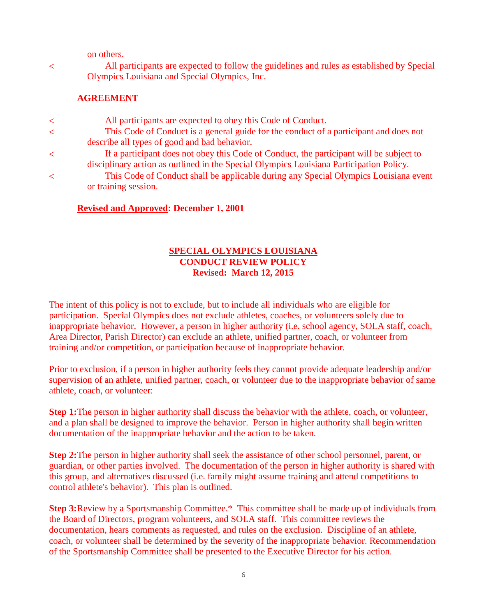on others.

 All participants are expected to follow the guidelines and rules as established by Special Olympics Louisiana and Special Olympics, Inc.

### **AGREEMENT**

| $\lt$   | All participants are expected to obey this Code of Conduct.                             |
|---------|-----------------------------------------------------------------------------------------|
| $\lt$   | This Code of Conduct is a general guide for the conduct of a participant and does not   |
|         | describe all types of good and bad behavior.                                            |
| $\lt$   | If a participant does not obey this Code of Conduct, the participant will be subject to |
|         | disciplinary action as outlined in the Special Olympics Louisiana Participation Policy. |
| $\,<\,$ | This Code of Conduct shall be applicable during any Special Olympics Louisiana event    |
|         | or training session.                                                                    |
|         |                                                                                         |

#### **Revised and Approved: December 1, 2001**

### **SPECIAL OLYMPICS LOUISIANA CONDUCT REVIEW POLICY Revised: March 12, 2015**

The intent of this policy is not to exclude, but to include all individuals who are eligible for participation. Special Olympics does not exclude athletes, coaches, or volunteers solely due to inappropriate behavior. However, a person in higher authority (i.e. school agency, SOLA staff, coach, Area Director, Parish Director) can exclude an athlete, unified partner, coach, or volunteer from training and/or competition, or participation because of inappropriate behavior.

Prior to exclusion, if a person in higher authority feels they cannot provide adequate leadership and/or supervision of an athlete, unified partner, coach, or volunteer due to the inappropriate behavior of same athlete, coach, or volunteer:

**Step 1:** The person in higher authority shall discuss the behavior with the athlete, coach, or volunteer, and a plan shall be designed to improve the behavior. Person in higher authority shall begin written documentation of the inappropriate behavior and the action to be taken.

**Step 2:**The person in higher authority shall seek the assistance of other school personnel, parent, or guardian, or other parties involved. The documentation of the person in higher authority is shared with this group, and alternatives discussed (i.e. family might assume training and attend competitions to control athlete's behavior). This plan is outlined.

**Step 3:**Review by a Sportsmanship Committee.\* This committee shall be made up of individuals from the Board of Directors, program volunteers, and SOLA staff. This committee reviews the documentation, hears comments as requested, and rules on the exclusion. Discipline of an athlete, coach, or volunteer shall be determined by the severity of the inappropriate behavior. Recommendation of the Sportsmanship Committee shall be presented to the Executive Director for his action.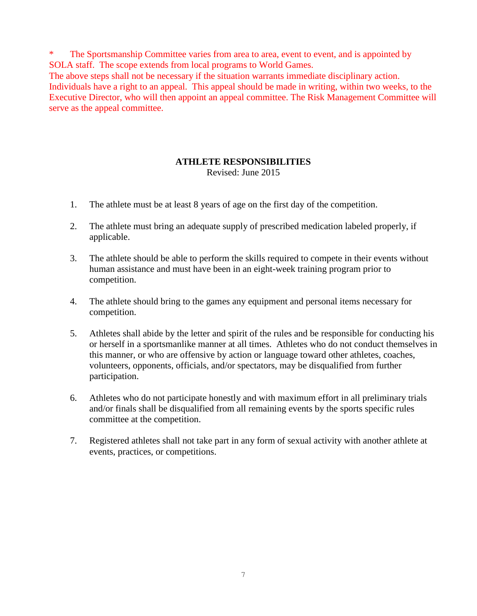\* The Sportsmanship Committee varies from area to area, event to event, and is appointed by SOLA staff. The scope extends from local programs to World Games.

The above steps shall not be necessary if the situation warrants immediate disciplinary action. Individuals have a right to an appeal. This appeal should be made in writing, within two weeks, to the Executive Director, who will then appoint an appeal committee. The Risk Management Committee will serve as the appeal committee.

## **ATHLETE RESPONSIBILITIES**

Revised: June 2015

- 1. The athlete must be at least 8 years of age on the first day of the competition.
- 2. The athlete must bring an adequate supply of prescribed medication labeled properly, if applicable.
- 3. The athlete should be able to perform the skills required to compete in their events without human assistance and must have been in an eight-week training program prior to competition.
- 4. The athlete should bring to the games any equipment and personal items necessary for competition.
- 5. Athletes shall abide by the letter and spirit of the rules and be responsible for conducting his or herself in a sportsmanlike manner at all times. Athletes who do not conduct themselves in this manner, or who are offensive by action or language toward other athletes, coaches, volunteers, opponents, officials, and/or spectators, may be disqualified from further participation.
- 6. Athletes who do not participate honestly and with maximum effort in all preliminary trials and/or finals shall be disqualified from all remaining events by the sports specific rules committee at the competition.
- 7. Registered athletes shall not take part in any form of sexual activity with another athlete at events, practices, or competitions.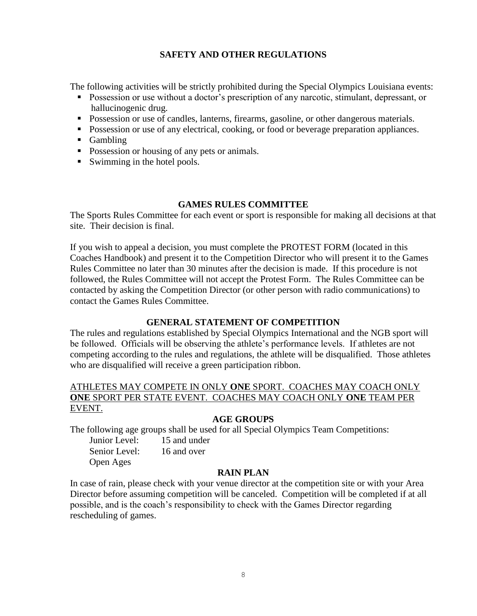## **SAFETY AND OTHER REGULATIONS**

The following activities will be strictly prohibited during the Special Olympics Louisiana events:

- **Possession or use without a doctor's prescription of any narcotic, stimulant, depressant, or** hallucinogenic drug.
- Possession or use of candles, lanterns, firearms, gasoline, or other dangerous materials.
- Possession or use of any electrical, cooking, or food or beverage preparation appliances.
- **Gambling**
- Possession or housing of any pets or animals.
- Swimming in the hotel pools.

#### **GAMES RULES COMMITTEE**

The Sports Rules Committee for each event or sport is responsible for making all decisions at that site. Their decision is final.

If you wish to appeal a decision, you must complete the PROTEST FORM (located in this Coaches Handbook) and present it to the Competition Director who will present it to the Games Rules Committee no later than 30 minutes after the decision is made. If this procedure is not followed, the Rules Committee will not accept the Protest Form. The Rules Committee can be contacted by asking the Competition Director (or other person with radio communications) to contact the Games Rules Committee.

#### **GENERAL STATEMENT OF COMPETITION**

The rules and regulations established by Special Olympics International and the NGB sport will be followed. Officials will be observing the athlete's performance levels. If athletes are not competing according to the rules and regulations, the athlete will be disqualified. Those athletes who are disqualified will receive a green participation ribbon.

## ATHLETES MAY COMPETE IN ONLY **ONE** SPORT. COACHES MAY COACH ONLY **ONE** SPORT PER STATE EVENT. COACHES MAY COACH ONLY **ONE** TEAM PER EVENT.

### **AGE GROUPS**

The following age groups shall be used for all Special Olympics Team Competitions:

| Junior Level: | 15 and under |
|---------------|--------------|
| Senior Level: | 16 and over  |
| Open Ages     |              |

#### **RAIN PLAN**

In case of rain, please check with your venue director at the competition site or with your Area Director before assuming competition will be canceled. Competition will be completed if at all possible, and is the coach's responsibility to check with the Games Director regarding rescheduling of games.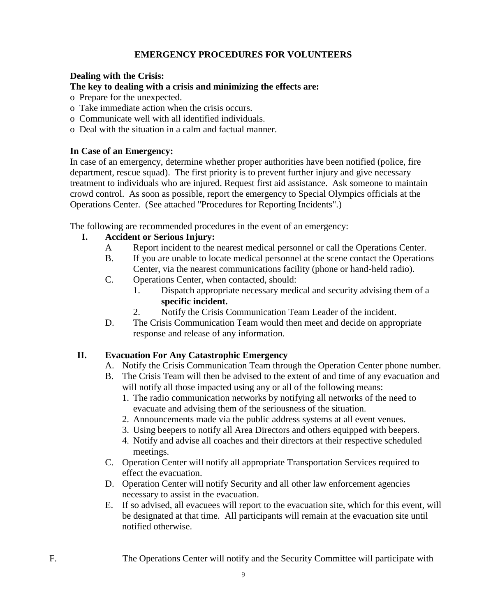## **EMERGENCY PROCEDURES FOR VOLUNTEERS**

## **Dealing with the Crisis:**

## **The key to dealing with a crisis and minimizing the effects are:**

- o Prepare for the unexpected.
- o Take immediate action when the crisis occurs.
- o Communicate well with all identified individuals.
- o Deal with the situation in a calm and factual manner.

### **In Case of an Emergency:**

In case of an emergency, determine whether proper authorities have been notified (police, fire department, rescue squad). The first priority is to prevent further injury and give necessary treatment to individuals who are injured. Request first aid assistance. Ask someone to maintain crowd control. As soon as possible, report the emergency to Special Olympics officials at the Operations Center. (See attached "Procedures for Reporting Incidents".)

The following are recommended procedures in the event of an emergency:

## **I. Accident or Serious Injury:**

- A Report incident to the nearest medical personnel or call the Operations Center.
- B. If you are unable to locate medical personnel at the scene contact the Operations Center, via the nearest communications facility (phone or hand-held radio).
- C. Operations Center, when contacted, should:
	- 1. Dispatch appropriate necessary medical and security advising them of a **specific incident.**
		- 2. Notify the Crisis Communication Team Leader of the incident.
- D. The Crisis Communication Team would then meet and decide on appropriate response and release of any information.

## **II. Evacuation For Any Catastrophic Emergency**

- A. Notify the Crisis Communication Team through the Operation Center phone number.
- B. The Crisis Team will then be advised to the extent of and time of any evacuation and will notify all those impacted using any or all of the following means:
	- 1. The radio communication networks by notifying all networks of the need to evacuate and advising them of the seriousness of the situation.
	- 2. Announcements made via the public address systems at all event venues.
	- 3. Using beepers to notify all Area Directors and others equipped with beepers.
	- 4. Notify and advise all coaches and their directors at their respective scheduled meetings.
- C. Operation Center will notify all appropriate Transportation Services required to effect the evacuation.
- D. Operation Center will notify Security and all other law enforcement agencies necessary to assist in the evacuation.
- E. If so advised, all evacuees will report to the evacuation site, which for this event, will be designated at that time. All participants will remain at the evacuation site until notified otherwise.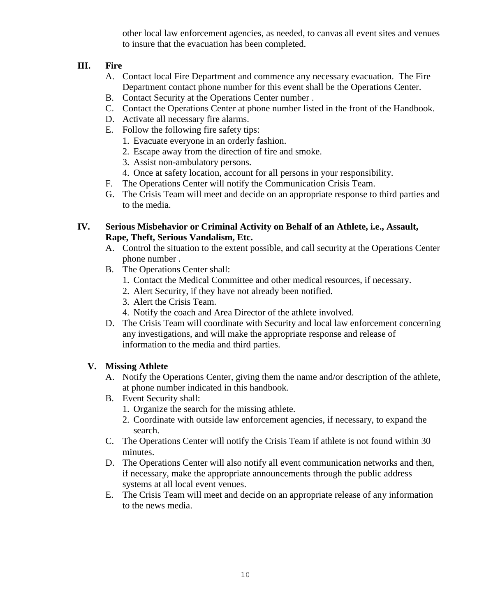other local law enforcement agencies, as needed, to canvas all event sites and venues to insure that the evacuation has been completed.

## **III. Fire**

- A. Contact local Fire Department and commence any necessary evacuation. The Fire Department contact phone number for this event shall be the Operations Center.
- B. Contact Security at the Operations Center number .
- C. Contact the Operations Center at phone number listed in the front of the Handbook.
- D. Activate all necessary fire alarms.
- E. Follow the following fire safety tips:
	- 1. Evacuate everyone in an orderly fashion.
	- 2. Escape away from the direction of fire and smoke.
	- 3. Assist non-ambulatory persons.
	- 4. Once at safety location, account for all persons in your responsibility.
- F. The Operations Center will notify the Communication Crisis Team.
- G. The Crisis Team will meet and decide on an appropriate response to third parties and to the media.

## **IV. Serious Misbehavior or Criminal Activity on Behalf of an Athlete, i.e., Assault, Rape, Theft, Serious Vandalism, Etc.**

- A. Control the situation to the extent possible, and call security at the Operations Center phone number .
- B. The Operations Center shall:
	- 1. Contact the Medical Committee and other medical resources, if necessary.
	- 2. Alert Security, if they have not already been notified.
	- 3. Alert the Crisis Team.
	- 4. Notify the coach and Area Director of the athlete involved.
- D. The Crisis Team will coordinate with Security and local law enforcement concerning any investigations, and will make the appropriate response and release of information to the media and third parties.

## **V. Missing Athlete**

- A. Notify the Operations Center, giving them the name and/or description of the athlete, at phone number indicated in this handbook.
- B. Event Security shall:
	- 1. Organize the search for the missing athlete.
	- 2. Coordinate with outside law enforcement agencies, if necessary, to expand the search.
- C. The Operations Center will notify the Crisis Team if athlete is not found within 30 minutes.
- D. The Operations Center will also notify all event communication networks and then, if necessary, make the appropriate announcements through the public address systems at all local event venues.
- E. The Crisis Team will meet and decide on an appropriate release of any information to the news media.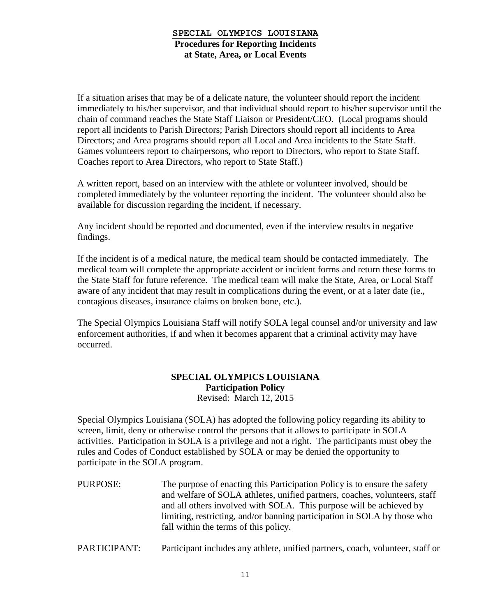### **SPECIAL OLYMPICS LOUISIANA Procedures for Reporting Incidents at State, Area, or Local Events**

If a situation arises that may be of a delicate nature, the volunteer should report the incident immediately to his/her supervisor, and that individual should report to his/her supervisor until the chain of command reaches the State Staff Liaison or President/CEO. (Local programs should report all incidents to Parish Directors; Parish Directors should report all incidents to Area Directors; and Area programs should report all Local and Area incidents to the State Staff. Games volunteers report to chairpersons, who report to Directors, who report to State Staff. Coaches report to Area Directors, who report to State Staff.)

A written report, based on an interview with the athlete or volunteer involved, should be completed immediately by the volunteer reporting the incident. The volunteer should also be available for discussion regarding the incident, if necessary.

Any incident should be reported and documented, even if the interview results in negative findings.

If the incident is of a medical nature, the medical team should be contacted immediately. The medical team will complete the appropriate accident or incident forms and return these forms to the State Staff for future reference. The medical team will make the State, Area, or Local Staff aware of any incident that may result in complications during the event, or at a later date (ie., contagious diseases, insurance claims on broken bone, etc.).

The Special Olympics Louisiana Staff will notify SOLA legal counsel and/or university and law enforcement authorities, if and when it becomes apparent that a criminal activity may have occurred.

# **SPECIAL OLYMPICS LOUISIANA Participation Policy**

Revised: March 12, 2015

Special Olympics Louisiana (SOLA) has adopted the following policy regarding its ability to screen, limit, deny or otherwise control the persons that it allows to participate in SOLA activities. Participation in SOLA is a privilege and not a right. The participants must obey the rules and Codes of Conduct established by SOLA or may be denied the opportunity to participate in the SOLA program.

- PURPOSE: The purpose of enacting this Participation Policy is to ensure the safety and welfare of SOLA athletes, unified partners, coaches, volunteers, staff and all others involved with SOLA. This purpose will be achieved by limiting, restricting, and/or banning participation in SOLA by those who fall within the terms of this policy.
- PARTICIPANT: Participant includes any athlete, unified partners, coach, volunteer, staff or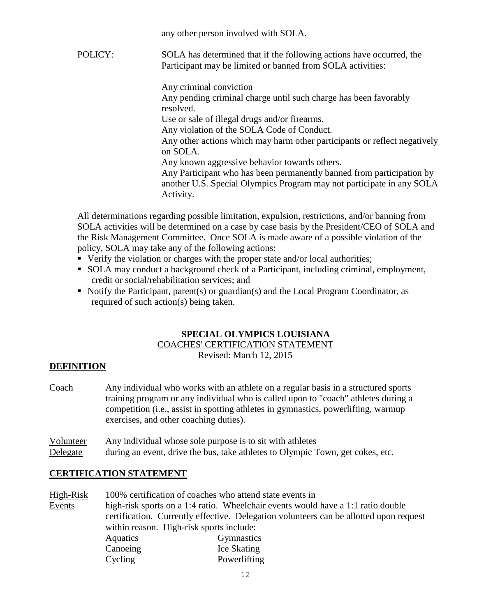any other person involved with SOLA.

POLICY: SOLA has determined that if the following actions have occurred, the Participant may be limited or banned from SOLA activities:

Any criminal conviction

Any pending criminal charge until such charge has been favorably resolved.

Use or sale of illegal drugs and/or firearms.

Any violation of the SOLA Code of Conduct.

Any other actions which may harm other participants or reflect negatively on SOLA.

Any known aggressive behavior towards others.

Any Participant who has been permanently banned from participation by another U.S. Special Olympics Program may not participate in any SOLA Activity.

All determinations regarding possible limitation, expulsion, restrictions, and/or banning from SOLA activities will be determined on a case by case basis by the President/CEO of SOLA and the Risk Management Committee. Once SOLA is made aware of a possible violation of the policy, SOLA may take any of the following actions:

- Verify the violation or charges with the proper state and/or local authorities;
- SOLA may conduct a background check of a Participant, including criminal, employment, credit or social/rehabilitation services; and
- $\blacksquare$  Notify the Participant, parent(s) or guardian(s) and the Local Program Coordinator, as required of such action(s) being taken.

# **SPECIAL OLYMPICS LOUISIANA**

COACHES' CERTIFICATION STATEMENT

Revised: March 12, 2015

# **DEFINITION**

Coach Any individual who works with an athlete on a regular basis in a structured sports training program or any individual who is called upon to "coach" athletes during a competition (i.e., assist in spotting athletes in gymnastics, powerlifting, warmup exercises, and other coaching duties).

Volunteer Any individual whose sole purpose is to sit with athletes Delegate during an event, drive the bus, take athletes to Olympic Town, get cokes, etc.

## **CERTIFICATION STATEMENT**

High-Risk 100% certification of coaches who attend state events in Events high-risk sports on a 1:4 ratio. Wheelchair events would have a 1:1 ratio double certification. Currently effective. Delegation volunteers can be allotted upon request within reason. High-risk sports include: Aquatics Gymnastics Canoeing Ice Skating Cycling Powerlifting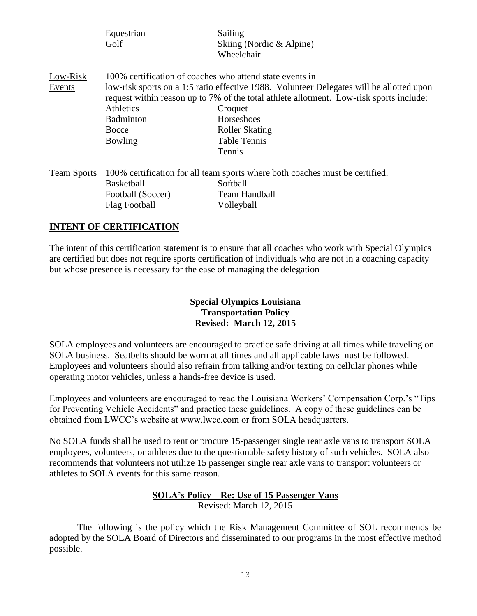|                    | Equestrian<br>Golf                                                                                                   | Sailing<br>Skiing (Nordic & Alpine)<br>Wheelchair                                                                                                                                                                                                                      |
|--------------------|----------------------------------------------------------------------------------------------------------------------|------------------------------------------------------------------------------------------------------------------------------------------------------------------------------------------------------------------------------------------------------------------------|
| Low-Risk<br>Events | 100% certification of coaches who attend state events in<br><b>Athletics</b><br>Badminton<br><b>Bocce</b><br>Bowling | low-risk sports on a 1:5 ratio effective 1988. Volunteer Delegates will be allotted upon<br>request within reason up to 7% of the total athlete allotment. Low-risk sports include:<br>Croquet<br>Horseshoes<br><b>Roller Skating</b><br><b>Table Tennis</b><br>Tennis |
| <b>Team Sports</b> | <b>Basketball</b><br>Football (Soccer)<br>Flag Football                                                              | 100% certification for all team sports where both coaches must be certified.<br>Softball<br>Team Handball<br>Volleyball                                                                                                                                                |

### **INTENT OF CERTIFICATION**

The intent of this certification statement is to ensure that all coaches who work with Special Olympics are certified but does not require sports certification of individuals who are not in a coaching capacity but whose presence is necessary for the ease of managing the delegation

## **Special Olympics Louisiana Transportation Policy Revised: March 12, 2015**

SOLA employees and volunteers are encouraged to practice safe driving at all times while traveling on SOLA business. Seatbelts should be worn at all times and all applicable laws must be followed. Employees and volunteers should also refrain from talking and/or texting on cellular phones while operating motor vehicles, unless a hands-free device is used.

Employees and volunteers are encouraged to read the Louisiana Workers' Compensation Corp.'s "Tips for Preventing Vehicle Accidents" and practice these guidelines. A copy of these guidelines can be obtained from LWCC's website at www.lwcc.com or from SOLA headquarters.

No SOLA funds shall be used to rent or procure 15-passenger single rear axle vans to transport SOLA employees, volunteers, or athletes due to the questionable safety history of such vehicles. SOLA also recommends that volunteers not utilize 15 passenger single rear axle vans to transport volunteers or athletes to SOLA events for this same reason.

#### **SOLA's Policy – Re: Use of 15 Passenger Vans** Revised: March 12, 2015

The following is the policy which the Risk Management Committee of SOL recommends be adopted by the SOLA Board of Directors and disseminated to our programs in the most effective method possible.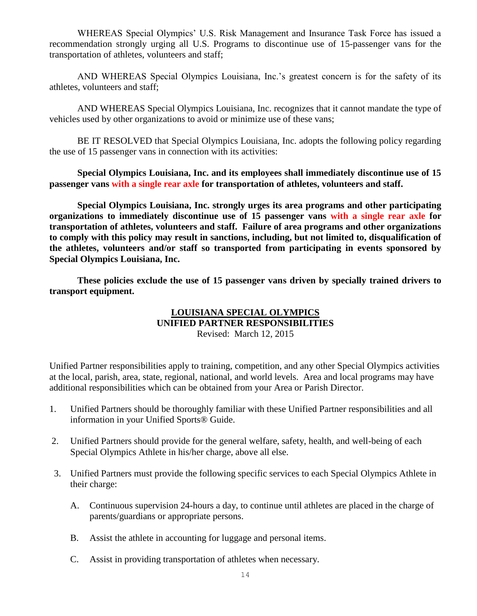WHEREAS Special Olympics' U.S. Risk Management and Insurance Task Force has issued a recommendation strongly urging all U.S. Programs to discontinue use of 15-passenger vans for the transportation of athletes, volunteers and staff;

AND WHEREAS Special Olympics Louisiana, Inc.'s greatest concern is for the safety of its athletes, volunteers and staff;

AND WHEREAS Special Olympics Louisiana, Inc. recognizes that it cannot mandate the type of vehicles used by other organizations to avoid or minimize use of these vans;

BE IT RESOLVED that Special Olympics Louisiana, Inc. adopts the following policy regarding the use of 15 passenger vans in connection with its activities:

**Special Olympics Louisiana, Inc. and its employees shall immediately discontinue use of 15 passenger vans with a single rear axle for transportation of athletes, volunteers and staff.**

**Special Olympics Louisiana, Inc. strongly urges its area programs and other participating organizations to immediately discontinue use of 15 passenger vans with a single rear axle for transportation of athletes, volunteers and staff. Failure of area programs and other organizations to comply with this policy may result in sanctions, including, but not limited to, disqualification of the athletes, volunteers and/or staff so transported from participating in events sponsored by Special Olympics Louisiana, Inc.**

**These policies exclude the use of 15 passenger vans driven by specially trained drivers to transport equipment.**

### **LOUISIANA SPECIAL OLYMPICS UNIFIED PARTNER RESPONSIBILITIES** Revised: March 12, 2015

Unified Partner responsibilities apply to training, competition, and any other Special Olympics activities at the local, parish, area, state, regional, national, and world levels. Area and local programs may have additional responsibilities which can be obtained from your Area or Parish Director.

- 1. Unified Partners should be thoroughly familiar with these Unified Partner responsibilities and all information in your Unified Sports® Guide.
- 2. Unified Partners should provide for the general welfare, safety, health, and well-being of each Special Olympics Athlete in his/her charge, above all else.
- 3. Unified Partners must provide the following specific services to each Special Olympics Athlete in their charge:
	- A. Continuous supervision 24-hours a day, to continue until athletes are placed in the charge of parents/guardians or appropriate persons.
	- B. Assist the athlete in accounting for luggage and personal items.
	- C. Assist in providing transportation of athletes when necessary.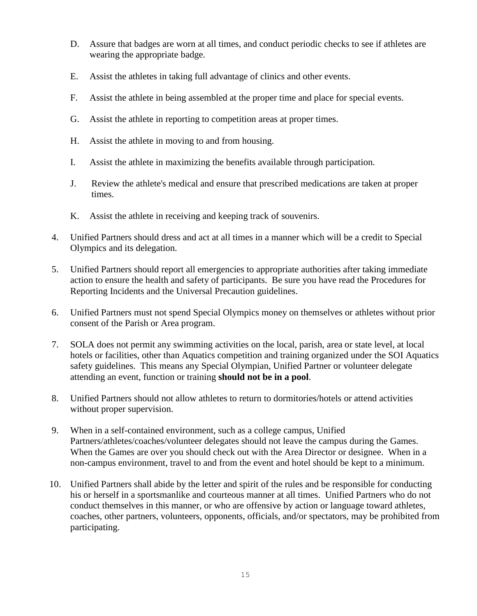- D. Assure that badges are worn at all times, and conduct periodic checks to see if athletes are wearing the appropriate badge.
- E. Assist the athletes in taking full advantage of clinics and other events.
- F. Assist the athlete in being assembled at the proper time and place for special events.
- G. Assist the athlete in reporting to competition areas at proper times.
- H. Assist the athlete in moving to and from housing.
- I. Assist the athlete in maximizing the benefits available through participation.
- J. Review the athlete's medical and ensure that prescribed medications are taken at proper times.
- K. Assist the athlete in receiving and keeping track of souvenirs.
- 4. Unified Partners should dress and act at all times in a manner which will be a credit to Special Olympics and its delegation.
- 5. Unified Partners should report all emergencies to appropriate authorities after taking immediate action to ensure the health and safety of participants. Be sure you have read the Procedures for Reporting Incidents and the Universal Precaution guidelines.
- 6. Unified Partners must not spend Special Olympics money on themselves or athletes without prior consent of the Parish or Area program.
- 7. SOLA does not permit any swimming activities on the local, parish, area or state level, at local hotels or facilities, other than Aquatics competition and training organized under the SOI Aquatics safety guidelines. This means any Special Olympian, Unified Partner or volunteer delegate attending an event, function or training **should not be in a pool**.
- 8. Unified Partners should not allow athletes to return to dormitories/hotels or attend activities without proper supervision.
- 9. When in a self-contained environment, such as a college campus, Unified Partners/athletes/coaches/volunteer delegates should not leave the campus during the Games. When the Games are over you should check out with the Area Director or designee. When in a non-campus environment, travel to and from the event and hotel should be kept to a minimum.
- 10. Unified Partners shall abide by the letter and spirit of the rules and be responsible for conducting his or herself in a sportsmanlike and courteous manner at all times. Unified Partners who do not conduct themselves in this manner, or who are offensive by action or language toward athletes, coaches, other partners, volunteers, opponents, officials, and/or spectators, may be prohibited from participating.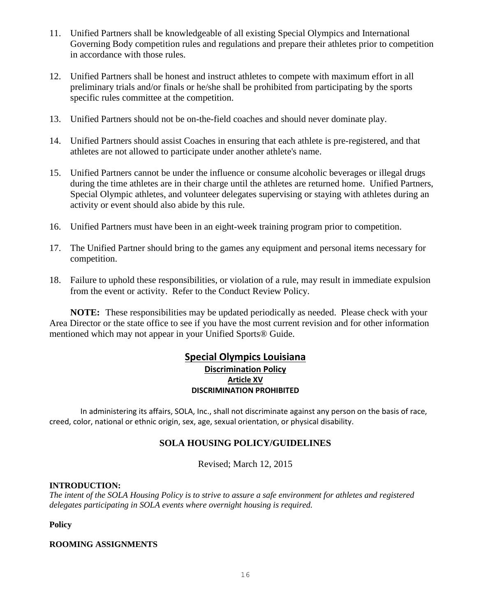- 11. Unified Partners shall be knowledgeable of all existing Special Olympics and International Governing Body competition rules and regulations and prepare their athletes prior to competition in accordance with those rules.
- 12. Unified Partners shall be honest and instruct athletes to compete with maximum effort in all preliminary trials and/or finals or he/she shall be prohibited from participating by the sports specific rules committee at the competition.
- 13. Unified Partners should not be on-the-field coaches and should never dominate play.
- 14. Unified Partners should assist Coaches in ensuring that each athlete is pre-registered, and that athletes are not allowed to participate under another athlete's name.
- 15. Unified Partners cannot be under the influence or consume alcoholic beverages or illegal drugs during the time athletes are in their charge until the athletes are returned home. Unified Partners, Special Olympic athletes, and volunteer delegates supervising or staying with athletes during an activity or event should also abide by this rule.
- 16. Unified Partners must have been in an eight-week training program prior to competition.
- 17. The Unified Partner should bring to the games any equipment and personal items necessary for competition.
- 18. Failure to uphold these responsibilities, or violation of a rule, may result in immediate expulsion from the event or activity. Refer to the Conduct Review Policy.

**NOTE:** These responsibilities may be updated periodically as needed. Please check with your Area Director or the state office to see if you have the most current revision and for other information mentioned which may not appear in your Unified Sports® Guide.

### **Special Olympics Louisiana Discrimination Policy Article XV DISCRIMINATION PROHIBITED**

 In administering its affairs, SOLA, Inc., shall not discriminate against any person on the basis of race, creed, color, national or ethnic origin, sex, age, sexual orientation, or physical disability.

## **SOLA HOUSING POLICY/GUIDELINES**

Revised; March 12, 2015

### **INTRODUCTION:**

*The intent of the SOLA Housing Policy is to strive to assure a safe environment for athletes and registered delegates participating in SOLA events where overnight housing is required.*

**Policy**

#### **ROOMING ASSIGNMENTS**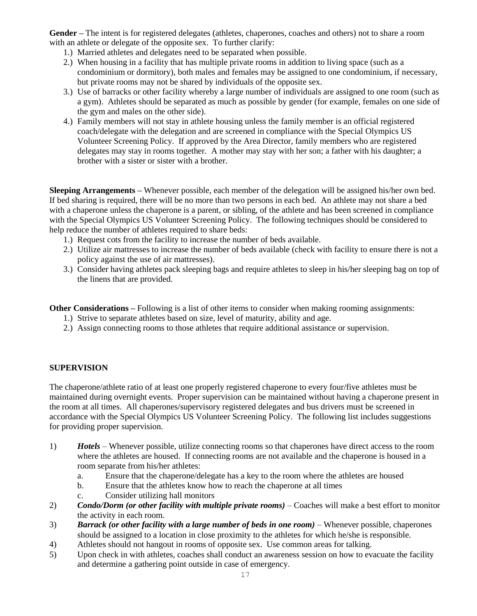**Gender –** The intent is for registered delegates (athletes, chaperones, coaches and others) not to share a room with an athlete or delegate of the opposite sex. To further clarify:

- 1.) Married athletes and delegates need to be separated when possible.
- 2.) When housing in a facility that has multiple private rooms in addition to living space (such as a condominium or dormitory), both males and females may be assigned to one condominium, if necessary, but private rooms may not be shared by individuals of the opposite sex.
- 3.) Use of barracks or other facility whereby a large number of individuals are assigned to one room (such as a gym). Athletes should be separated as much as possible by gender (for example, females on one side of the gym and males on the other side).
- 4.) Family members will not stay in athlete housing unless the family member is an official registered coach/delegate with the delegation and are screened in compliance with the Special Olympics US Volunteer Screening Policy. If approved by the Area Director, family members who are registered delegates may stay in rooms together. A mother may stay with her son; a father with his daughter; a brother with a sister or sister with a brother.

**Sleeping Arrangements –** Whenever possible, each member of the delegation will be assigned his/her own bed. If bed sharing is required, there will be no more than two persons in each bed. An athlete may not share a bed with a chaperone unless the chaperone is a parent, or sibling, of the athlete and has been screened in compliance with the Special Olympics US Volunteer Screening Policy. The following techniques should be considered to help reduce the number of athletes required to share beds:

- 1.) Request cots from the facility to increase the number of beds available.
- 2.) Utilize air mattresses to increase the number of beds available (check with facility to ensure there is not a policy against the use of air mattresses).
- 3.) Consider having athletes pack sleeping bags and require athletes to sleep in his/her sleeping bag on top of the linens that are provided.

**Other Considerations –** Following is a list of other items to consider when making rooming assignments:

- 1.) Strive to separate athletes based on size, level of maturity, ability and age.
- 2.) Assign connecting rooms to those athletes that require additional assistance or supervision.

### **SUPERVISION**

The chaperone/athlete ratio of at least one properly registered chaperone to every four/five athletes must be maintained during overnight events. Proper supervision can be maintained without having a chaperone present in the room at all times. All chaperones/supervisory registered delegates and bus drivers must be screened in accordance with the Special Olympics US Volunteer Screening Policy. The following list includes suggestions for providing proper supervision.

- 1) *Hotels* Whenever possible, utilize connecting rooms so that chaperones have direct access to the room where the athletes are housed. If connecting rooms are not available and the chaperone is housed in a room separate from his/her athletes:
	- a. Ensure that the chaperone/delegate has a key to the room where the athletes are housed
	- b. Ensure that the athletes know how to reach the chaperone at all times
	- c. Consider utilizing hall monitors
- 2) **Condo/Dorm (or other facility with multiple private rooms)** Coaches will make a best effort to monitor the activity in each room.
- 3) **Barrack (or other facility with a large number of beds in one room)** Whenever possible, chaperones should be assigned to a location in close proximity to the athletes for which he/she is responsible.
- 4) Athletes should not hangout in rooms of opposite sex. Use common areas for talking.
- 5) Upon check in with athletes, coaches shall conduct an awareness session on how to evacuate the facility and determine a gathering point outside in case of emergency.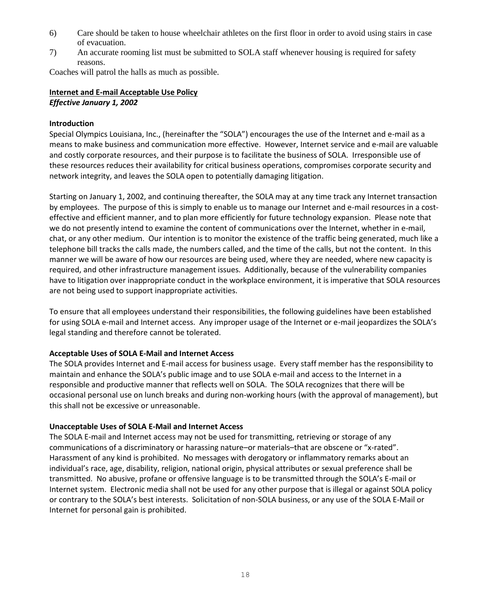- 6) Care should be taken to house wheelchair athletes on the first floor in order to avoid using stairs in case of evacuation.
- 7) An accurate rooming list must be submitted to SOLA staff whenever housing is required for safety reasons.

Coaches will patrol the halls as much as possible.

## **Internet and E-mail Acceptable Use Policy** *Effective January 1, 2002*

#### **Introduction**

Special Olympics Louisiana, Inc., (hereinafter the "SOLA") encourages the use of the Internet and e-mail as a means to make business and communication more effective. However, Internet service and e-mail are valuable and costly corporate resources, and their purpose is to facilitate the business of SOLA. Irresponsible use of these resources reduces their availability for critical business operations, compromises corporate security and network integrity, and leaves the SOLA open to potentially damaging litigation.

Starting on January 1, 2002, and continuing thereafter, the SOLA may at any time track any Internet transaction by employees. The purpose of this is simply to enable us to manage our Internet and e-mail resources in a costeffective and efficient manner, and to plan more efficiently for future technology expansion. Please note that we do not presently intend to examine the content of communications over the Internet, whether in e-mail, chat, or any other medium. Our intention is to monitor the existence of the traffic being generated, much like a telephone bill tracks the calls made, the numbers called, and the time of the calls, but not the content. In this manner we will be aware of how our resources are being used, where they are needed, where new capacity is required, and other infrastructure management issues. Additionally, because of the vulnerability companies have to litigation over inappropriate conduct in the workplace environment, it is imperative that SOLA resources are not being used to support inappropriate activities.

To ensure that all employees understand their responsibilities, the following guidelines have been established for using SOLA e-mail and Internet access. Any improper usage of the Internet or e-mail jeopardizes the SOLA's legal standing and therefore cannot be tolerated.

#### **Acceptable Uses of SOLA E-Mail and Internet Access**

The SOLA provides Internet and E-mail access for business usage. Every staff member has the responsibility to maintain and enhance the SOLA's public image and to use SOLA e-mail and access to the Internet in a responsible and productive manner that reflects well on SOLA. The SOLA recognizes that there will be occasional personal use on lunch breaks and during non-working hours (with the approval of management), but this shall not be excessive or unreasonable.

#### **Unacceptable Uses of SOLA E-Mail and Internet Access**

The SOLA E-mail and Internet access may not be used for transmitting, retrieving or storage of any communications of a discriminatory or harassing nature–or materials–that are obscene or "x-rated". Harassment of any kind is prohibited. No messages with derogatory or inflammatory remarks about an individual's race, age, disability, religion, national origin, physical attributes or sexual preference shall be transmitted. No abusive, profane or offensive language is to be transmitted through the SOLA's E-mail or Internet system. Electronic media shall not be used for any other purpose that is illegal or against SOLA policy or contrary to the SOLA's best interests. Solicitation of non-SOLA business, or any use of the SOLA E-Mail or Internet for personal gain is prohibited.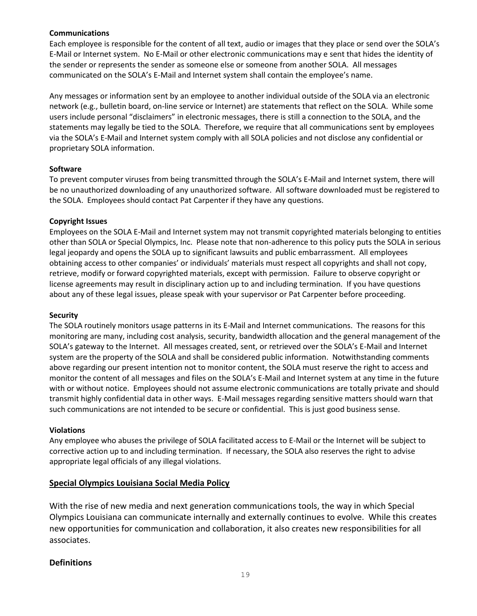#### **Communications**

Each employee is responsible for the content of all text, audio or images that they place or send over the SOLA's E-Mail or Internet system. No E-Mail or other electronic communications may e sent that hides the identity of the sender or represents the sender as someone else or someone from another SOLA. All messages communicated on the SOLA's E-Mail and Internet system shall contain the employee's name.

Any messages or information sent by an employee to another individual outside of the SOLA via an electronic network (e.g., bulletin board, on-line service or Internet) are statements that reflect on the SOLA. While some users include personal "disclaimers" in electronic messages, there is still a connection to the SOLA, and the statements may legally be tied to the SOLA. Therefore, we require that all communications sent by employees via the SOLA's E-Mail and Internet system comply with all SOLA policies and not disclose any confidential or proprietary SOLA information.

#### **Software**

To prevent computer viruses from being transmitted through the SOLA's E-Mail and Internet system, there will be no unauthorized downloading of any unauthorized software. All software downloaded must be registered to the SOLA. Employees should contact Pat Carpenter if they have any questions.

#### **Copyright Issues**

Employees on the SOLA E-Mail and Internet system may not transmit copyrighted materials belonging to entities other than SOLA or Special Olympics, Inc. Please note that non-adherence to this policy puts the SOLA in serious legal jeopardy and opens the SOLA up to significant lawsuits and public embarrassment. All employees obtaining access to other companies' or individuals' materials must respect all copyrights and shall not copy, retrieve, modify or forward copyrighted materials, except with permission. Failure to observe copyright or license agreements may result in disciplinary action up to and including termination. If you have questions about any of these legal issues, please speak with your supervisor or Pat Carpenter before proceeding.

#### **Security**

The SOLA routinely monitors usage patterns in its E-Mail and Internet communications. The reasons for this monitoring are many, including cost analysis, security, bandwidth allocation and the general management of the SOLA's gateway to the Internet. All messages created, sent, or retrieved over the SOLA's E-Mail and Internet system are the property of the SOLA and shall be considered public information. Notwithstanding comments above regarding our present intention not to monitor content, the SOLA must reserve the right to access and monitor the content of all messages and files on the SOLA's E-Mail and Internet system at any time in the future with or without notice. Employees should not assume electronic communications are totally private and should transmit highly confidential data in other ways. E-Mail messages regarding sensitive matters should warn that such communications are not intended to be secure or confidential. This is just good business sense.

#### **Violations**

Any employee who abuses the privilege of SOLA facilitated access to E-Mail or the Internet will be subject to corrective action up to and including termination. If necessary, the SOLA also reserves the right to advise appropriate legal officials of any illegal violations.

### **Special Olympics Louisiana Social Media Policy**

With the rise of new media and next generation communications tools, the way in which Special Olympics Louisiana can communicate internally and externally continues to evolve. While this creates new opportunities for communication and collaboration, it also creates new responsibilities for all associates.

### **Definitions**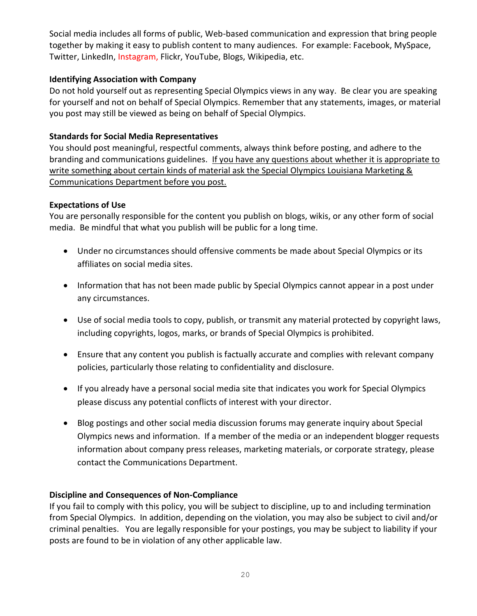Social media includes all forms of public, Web-based communication and expression that bring people together by making it easy to publish content to many audiences. For example: Facebook, MySpace, Twitter, LinkedIn, Instagram, Flickr, YouTube, Blogs, Wikipedia, etc.

## **Identifying Association with Company**

Do not hold yourself out as representing Special Olympics views in any way. Be clear you are speaking for yourself and not on behalf of Special Olympics. Remember that any statements, images, or material you post may still be viewed as being on behalf of Special Olympics.

## **Standards for Social Media Representatives**

You should post meaningful, respectful comments, always think before posting, and adhere to the branding and communications guidelines. If you have any questions about whether it is appropriate to write something about certain kinds of material ask the Special Olympics Louisiana Marketing & Communications Department before you post.

## **Expectations of Use**

You are personally responsible for the content you publish on blogs, wikis, or any other form of social media. Be mindful that what you publish will be public for a long time.

- Under no circumstances should offensive comments be made about Special Olympics or its affiliates on social media sites.
- Information that has not been made public by Special Olympics cannot appear in a post under any circumstances.
- Use of social media tools to copy, publish, or transmit any material protected by copyright laws, including copyrights, logos, marks, or brands of Special Olympics is prohibited.
- Ensure that any content you publish is factually accurate and complies with relevant company policies, particularly those relating to confidentiality and disclosure.
- If you already have a personal social media site that indicates you work for Special Olympics please discuss any potential conflicts of interest with your director.
- Blog postings and other social media discussion forums may generate inquiry about Special Olympics news and information. If a member of the media or an independent blogger requests information about company press releases, marketing materials, or corporate strategy, please contact the Communications Department.

## **Discipline and Consequences of Non-Compliance**

If you fail to comply with this policy, you will be subject to discipline, up to and including termination from Special Olympics. In addition, depending on the violation, you may also be subject to civil and/or criminal penalties. You are legally responsible for your postings, you may be subject to liability if your posts are found to be in violation of any other applicable law.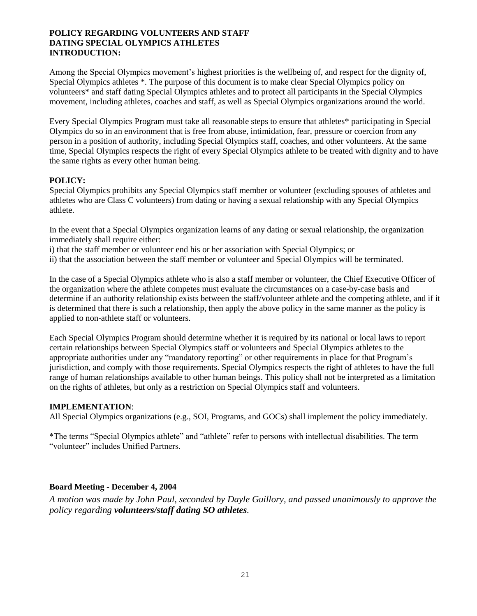#### **POLICY REGARDING VOLUNTEERS AND STAFF DATING SPECIAL OLYMPICS ATHLETES INTRODUCTION:**

Among the Special Olympics movement's highest priorities is the wellbeing of, and respect for the dignity of, Special Olympics athletes \*. The purpose of this document is to make clear Special Olympics policy on volunteers\* and staff dating Special Olympics athletes and to protect all participants in the Special Olympics movement, including athletes, coaches and staff, as well as Special Olympics organizations around the world.

Every Special Olympics Program must take all reasonable steps to ensure that athletes\* participating in Special Olympics do so in an environment that is free from abuse, intimidation, fear, pressure or coercion from any person in a position of authority, including Special Olympics staff, coaches, and other volunteers. At the same time, Special Olympics respects the right of every Special Olympics athlete to be treated with dignity and to have the same rights as every other human being.

#### **POLICY:**

Special Olympics prohibits any Special Olympics staff member or volunteer (excluding spouses of athletes and athletes who are Class C volunteers) from dating or having a sexual relationship with any Special Olympics athlete.

In the event that a Special Olympics organization learns of any dating or sexual relationship, the organization immediately shall require either:

i) that the staff member or volunteer end his or her association with Special Olympics; or

ii) that the association between the staff member or volunteer and Special Olympics will be terminated.

In the case of a Special Olympics athlete who is also a staff member or volunteer, the Chief Executive Officer of the organization where the athlete competes must evaluate the circumstances on a case-by-case basis and determine if an authority relationship exists between the staff/volunteer athlete and the competing athlete, and if it is determined that there is such a relationship, then apply the above policy in the same manner as the policy is applied to non-athlete staff or volunteers.

Each Special Olympics Program should determine whether it is required by its national or local laws to report certain relationships between Special Olympics staff or volunteers and Special Olympics athletes to the appropriate authorities under any "mandatory reporting" or other requirements in place for that Program's jurisdiction, and comply with those requirements. Special Olympics respects the right of athletes to have the full range of human relationships available to other human beings. This policy shall not be interpreted as a limitation on the rights of athletes, but only as a restriction on Special Olympics staff and volunteers.

### **IMPLEMENTATION**:

All Special Olympics organizations (e.g., SOI, Programs, and GOCs) shall implement the policy immediately.

\*The terms "Special Olympics athlete" and "athlete" refer to persons with intellectual disabilities. The term "volunteer" includes Unified Partners.

### **Board Meeting - December 4, 2004**

*A motion was made by John Paul, seconded by Dayle Guillory, and passed unanimously to approve the policy regarding volunteers/staff dating SO athletes.*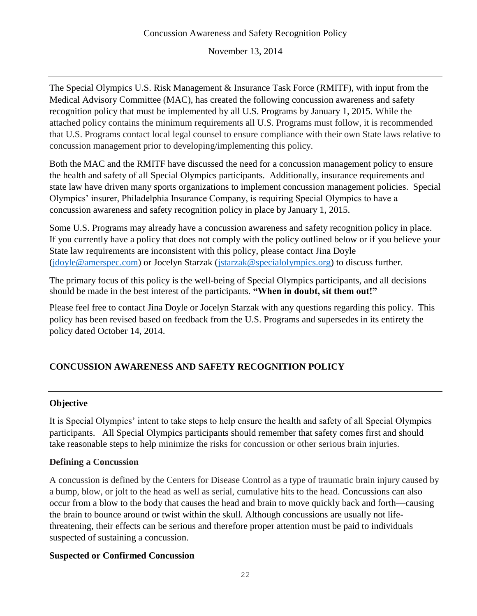November 13, 2014

The Special Olympics U.S. Risk Management & Insurance Task Force (RMITF), with input from the Medical Advisory Committee (MAC), has created the following concussion awareness and safety recognition policy that must be implemented by all U.S. Programs by January 1, 2015. While the attached policy contains the minimum requirements all U.S. Programs must follow, it is recommended that U.S. Programs contact local legal counsel to ensure compliance with their own State laws relative to concussion management prior to developing/implementing this policy.

Both the MAC and the RMITF have discussed the need for a concussion management policy to ensure the health and safety of all Special Olympics participants. Additionally, insurance requirements and state law have driven many sports organizations to implement concussion management policies. Special Olympics' insurer, Philadelphia Insurance Company, is requiring Special Olympics to have a concussion awareness and safety recognition policy in place by January 1, 2015.

Some U.S. Programs may already have a concussion awareness and safety recognition policy in place. If you currently have a policy that does not comply with the policy outlined below or if you believe your State law requirements are inconsistent with this policy, please contact Jina Doyle [\(jdoyle@amerspec.com\)](mailto:jdoyle@amerspec.com) or Jocelyn Starzak [\(jstarzak@specialolympics.org\)](mailto:jstarzak@specialolympics.org) to discuss further.

The primary focus of this policy is the well-being of Special Olympics participants, and all decisions should be made in the best interest of the participants. **"When in doubt, sit them out!"** 

Please feel free to contact Jina Doyle or Jocelyn Starzak with any questions regarding this policy. This policy has been revised based on feedback from the U.S. Programs and supersedes in its entirety the policy dated October 14, 2014.

# **CONCUSSION AWARENESS AND SAFETY RECOGNITION POLICY**

## **Objective**

It is Special Olympics' intent to take steps to help ensure the health and safety of all Special Olympics participants. All Special Olympics participants should remember that safety comes first and should take reasonable steps to help minimize the risks for concussion or other serious brain injuries.

## **Defining a Concussion**

A concussion is defined by the Centers for Disease Control as a type of traumatic brain injury caused by a bump, blow, or jolt to the head as well as serial, cumulative hits to the head. Concussions can also occur from a blow to the body that causes the head and brain to move quickly back and forth—causing the brain to bounce around or twist within the skull. Although concussions are usually not lifethreatening, their effects can be serious and therefore proper attention must be paid to individuals suspected of sustaining a concussion.

## **Suspected or Confirmed Concussion**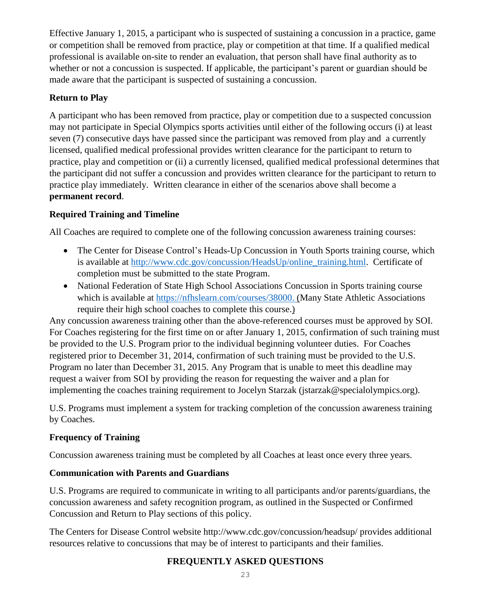Effective January 1, 2015, a participant who is suspected of sustaining a concussion in a practice, game or competition shall be removed from practice, play or competition at that time. If a qualified medical professional is available on-site to render an evaluation, that person shall have final authority as to whether or not a concussion is suspected. If applicable, the participant's parent or guardian should be made aware that the participant is suspected of sustaining a concussion.

## **Return to Play**

A participant who has been removed from practice, play or competition due to a suspected concussion may not participate in Special Olympics sports activities until either of the following occurs (i) at least seven (7) consecutive days have passed since the participant was removed from play and a currently licensed, qualified medical professional provides written clearance for the participant to return to practice, play and competition or (ii) a currently licensed, qualified medical professional determines that the participant did not suffer a concussion and provides written clearance for the participant to return to practice play immediately. Written clearance in either of the scenarios above shall become a **permanent record**.

## **Required Training and Timeline**

All Coaches are required to complete one of the following concussion awareness training courses:

- The Center for Disease Control's Heads-Up Concussion in Youth Sports training course, which is available at [http://www.cdc.gov/concussion/HeadsUp/online\\_training.html.](http://www.cdc.gov/concussion/HeadsUp/online_training.html) Certificate of completion must be submitted to the state Program.
- National Federation of State High School Associations Concussion in Sports training course which is available at [https://nfhslearn.com/courses/38000.](https://nfhslearn.com/courses/38000) (Many State Athletic Associations require their high school coaches to complete this course.)

Any concussion awareness training other than the above-referenced courses must be approved by SOI. For Coaches registering for the first time on or after January 1, 2015, confirmation of such training must be provided to the U.S. Program prior to the individual beginning volunteer duties. For Coaches registered prior to December 31, 2014, confirmation of such training must be provided to the U.S. Program no later than December 31, 2015. Any Program that is unable to meet this deadline may request a waiver from SOI by providing the reason for requesting the waiver and a plan for implementing the coaches training requirement to Jocelyn Starzak (jstarzak@specialolympics.org).

U.S. Programs must implement a system for tracking completion of the concussion awareness training by Coaches.

## **Frequency of Training**

Concussion awareness training must be completed by all Coaches at least once every three years.

## **Communication with Parents and Guardians**

U.S. Programs are required to communicate in writing to all participants and/or parents/guardians, the concussion awareness and safety recognition program, as outlined in the Suspected or Confirmed Concussion and Return to Play sections of this policy.

The Centers for Disease Control website http://www.cdc.gov/concussion/headsup/ provides additional resources relative to concussions that may be of interest to participants and their families.

## **FREQUENTLY ASKED QUESTIONS**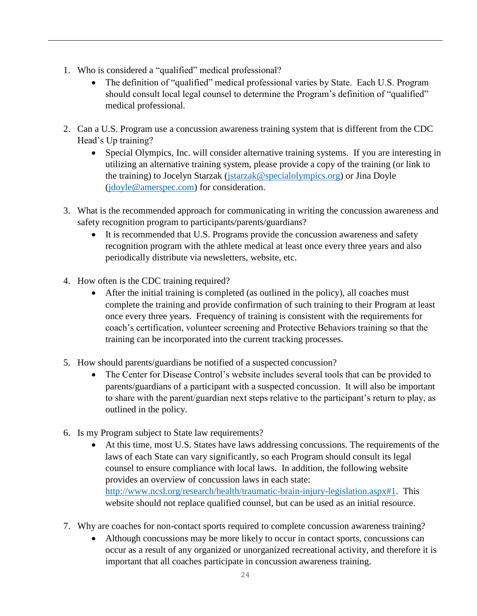- 1. Who is considered a "qualified" medical professional?
	- The definition of "qualified" medical professional varies by State. Each U.S. Program should consult local legal counsel to determine the Program's definition of "qualified" medical professional.
- 2. Can a U.S. Program use a concussion awareness training system that is different from the CDC Head's Up training?
	- Special Olympics, Inc. will consider alternative training systems. If you are interesting in utilizing an alternative training system, please provide a copy of the training (or link to the training) to Jocelyn Starzak [\(jstarzak@specialolympics.org\)](mailto:jstarzak@specialolympics.org) or Jina Doyle [\(jdoyle@amerspec.com\)](mailto:jdoyle@amerspec.com) for consideration.
- 3. What is the recommended approach for communicating in writing the concussion awareness and safety recognition program to participants/parents/guardians?
	- It is recommended that U.S. Programs provide the concussion awareness and safety recognition program with the athlete medical at least once every three years and also periodically distribute via newsletters, website, etc.
- 4. How often is the CDC training required?
	- After the initial training is completed (as outlined in the policy), all coaches must complete the training and provide confirmation of such training to their Program at least once every three years. Frequency of training is consistent with the requirements for coach's certification, volunteer screening and Protective Behaviors training so that the training can be incorporated into the current tracking processes.
- 5. How should parents/guardians be notified of a suspected concussion?
	- The Center for Disease Control's website includes several tools that can be provided to parents/guardians of a participant with a suspected concussion. It will also be important to share with the parent/guardian next steps relative to the participant's return to play, as outlined in the policy.
- 6. Is my Program subject to State law requirements?
	- At this time, most U.S. States have laws addressing concussions. The requirements of the laws of each State can vary significantly, so each Program should consult its legal counsel to ensure compliance with local laws. In addition, the following website provides an overview of concussion laws in each state: [http://www.ncsl.org/research/health/traumatic-brain-injury-legislation.aspx#1.](http://www.ncsl.org/research/health/traumatic-brain-injury-legislation.aspx#1) This website should not replace qualified counsel, but can be used as an initial resource.
- 7. Why are coaches for non-contact sports required to complete concussion awareness training?
	- Although concussions may be more likely to occur in contact sports, concussions can occur as a result of any organized or unorganized recreational activity, and therefore it is important that all coaches participate in concussion awareness training.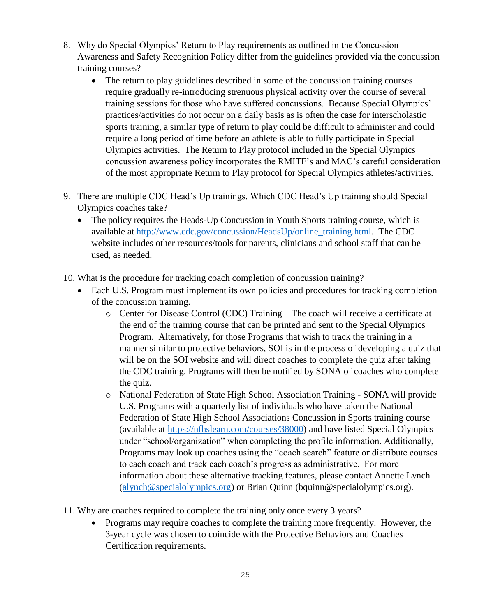- 8. Why do Special Olympics' Return to Play requirements as outlined in the Concussion Awareness and Safety Recognition Policy differ from the guidelines provided via the concussion training courses?
	- The return to play guidelines described in some of the concussion training courses require gradually re-introducing strenuous physical activity over the course of several training sessions for those who have suffered concussions. Because Special Olympics' practices/activities do not occur on a daily basis as is often the case for interscholastic sports training, a similar type of return to play could be difficult to administer and could require a long period of time before an athlete is able to fully participate in Special Olympics activities. The Return to Play protocol included in the Special Olympics concussion awareness policy incorporates the RMITF's and MAC's careful consideration of the most appropriate Return to Play protocol for Special Olympics athletes/activities.
- 9. There are multiple CDC Head's Up trainings. Which CDC Head's Up training should Special Olympics coaches take?
	- The policy requires the Heads-Up Concussion in Youth Sports training course, which is available at [http://www.cdc.gov/concussion/HeadsUp/online\\_training.html.](http://www.cdc.gov/concussion/HeadsUp/online_training.html) The CDC website includes other resources/tools for parents, clinicians and school staff that can be used, as needed.

10. What is the procedure for tracking coach completion of concussion training?

- Each U.S. Program must implement its own policies and procedures for tracking completion of the concussion training.
	- o Center for Disease Control (CDC) Training The coach will receive a certificate at the end of the training course that can be printed and sent to the Special Olympics Program. Alternatively, for those Programs that wish to track the training in a manner similar to protective behaviors, SOI is in the process of developing a quiz that will be on the SOI website and will direct coaches to complete the quiz after taking the CDC training. Programs will then be notified by SONA of coaches who complete the quiz.
	- o National Federation of State High School Association Training SONA will provide U.S. Programs with a quarterly list of individuals who have taken the National Federation of State High School Associations Concussion in Sports training course (available at [https://nfhslearn.com/courses/38000\)](https://nfhslearn.com/courses/38000) and have listed Special Olympics under "school/organization" when completing the profile information. Additionally, Programs may look up coaches using the "coach search" feature or distribute courses to each coach and track each coach's progress as administrative. For more information about these alternative tracking features, please contact Annette Lynch [\(alynch@specialolympics.org\)](mailto:alynch@specialolympics.org) or Brian Quinn (bquinn@specialolympics.org).
- 11. Why are coaches required to complete the training only once every 3 years?
	- Programs may require coaches to complete the training more frequently. However, the 3-year cycle was chosen to coincide with the Protective Behaviors and Coaches Certification requirements.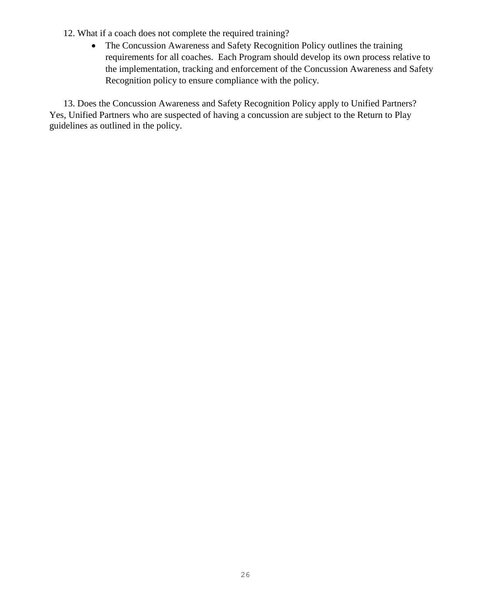- 12. What if a coach does not complete the required training?
	- The Concussion Awareness and Safety Recognition Policy outlines the training requirements for all coaches. Each Program should develop its own process relative to the implementation, tracking and enforcement of the Concussion Awareness and Safety Recognition policy to ensure compliance with the policy.

13. Does the Concussion Awareness and Safety Recognition Policy apply to Unified Partners? Yes, Unified Partners who are suspected of having a concussion are subject to the Return to Play guidelines as outlined in the policy.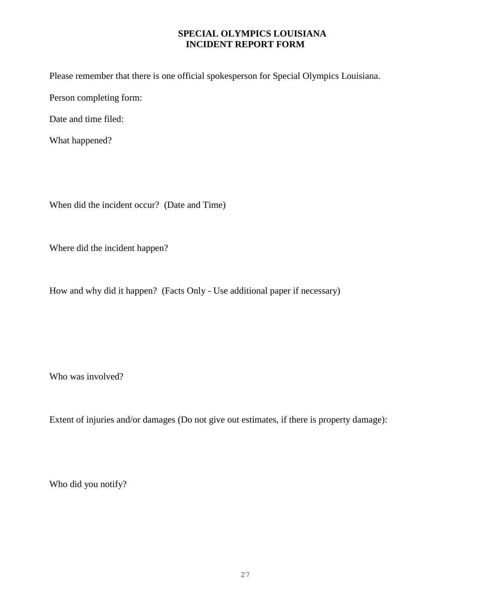### **SPECIAL OLYMPICS LOUISIANA INCIDENT REPORT FORM**

Please remember that there is one official spokesperson for Special Olympics Louisiana.

Person completing form:

Date and time filed:

What happened?

When did the incident occur? (Date and Time)

Where did the incident happen?

How and why did it happen? (Facts Only - Use additional paper if necessary)

Who was involved?

Extent of injuries and/or damages (Do not give out estimates, if there is property damage):

Who did you notify?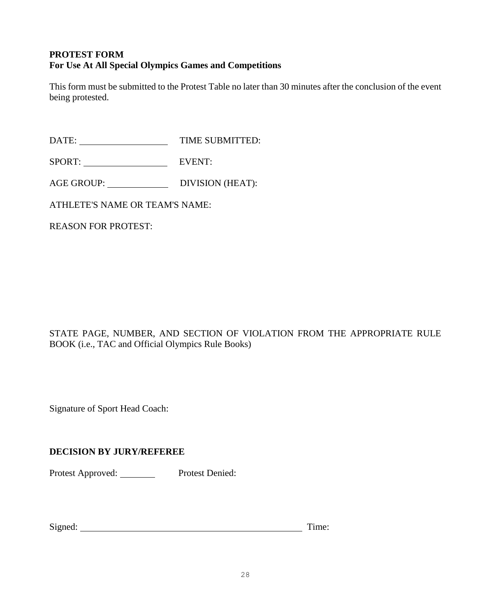## **PROTEST FORM For Use At All Special Olympics Games and Competitions**

This form must be submitted to the Protest Table no later than 30 minutes after the conclusion of the event being protested.

DATE: TIME SUBMITTED:

SPORT: EVENT:

AGE GROUP: DIVISION (HEAT):

ATHLETE'S NAME OR TEAM'S NAME:

REASON FOR PROTEST:

## STATE PAGE, NUMBER, AND SECTION OF VIOLATION FROM THE APPROPRIATE RULE BOOK (i.e., TAC and Official Olympics Rule Books)

Signature of Sport Head Coach:

## **DECISION BY JURY/REFEREE**

Protest Approved: Protest Denied:

| Signed: | Time. |
|---------|-------|
|         |       |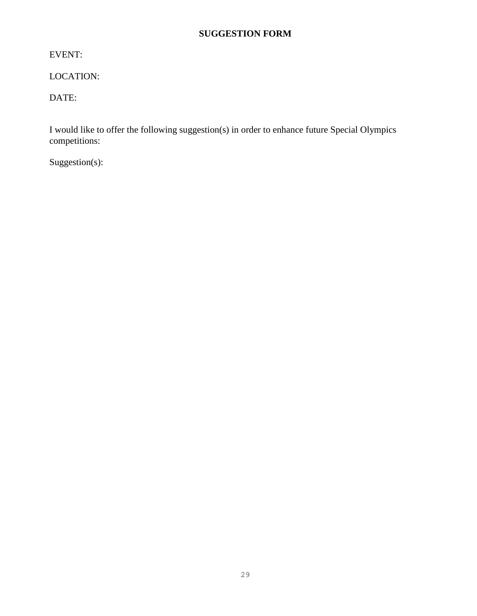## **SUGGESTION FORM**

EVENT:

LOCATION:

DATE:

I would like to offer the following suggestion(s) in order to enhance future Special Olympics competitions:

Suggestion(s):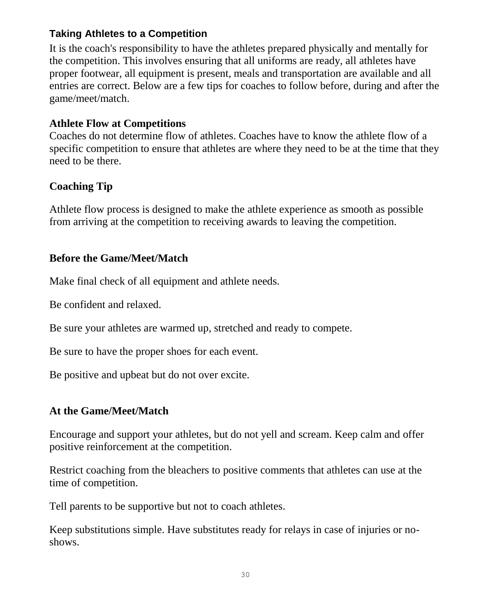# **Taking Athletes to a Competition**

It is the coach's responsibility to have the athletes prepared physically and mentally for the competition. This involves ensuring that all uniforms are ready, all athletes have proper footwear, all equipment is present, meals and transportation are available and all entries are correct. Below are a few tips for coaches to follow before, during and after the game/meet/match.

# **Athlete Flow at Competitions**

Coaches do not determine flow of athletes. Coaches have to know the athlete flow of a specific competition to ensure that athletes are where they need to be at the time that they need to be there.

# **Coaching Tip**

Athlete flow process is designed to make the athlete experience as smooth as possible from arriving at the competition to receiving awards to leaving the competition.

# **Before the Game/Meet/Match**

Make final check of all equipment and athlete needs.

Be confident and relaxed.

Be sure your athletes are warmed up, stretched and ready to compete.

Be sure to have the proper shoes for each event.

Be positive and upbeat but do not over excite.

# **At the Game/Meet/Match**

Encourage and support your athletes, but do not yell and scream. Keep calm and offer positive reinforcement at the competition.

Restrict coaching from the bleachers to positive comments that athletes can use at the time of competition.

Tell parents to be supportive but not to coach athletes.

Keep substitutions simple. Have substitutes ready for relays in case of injuries or noshows.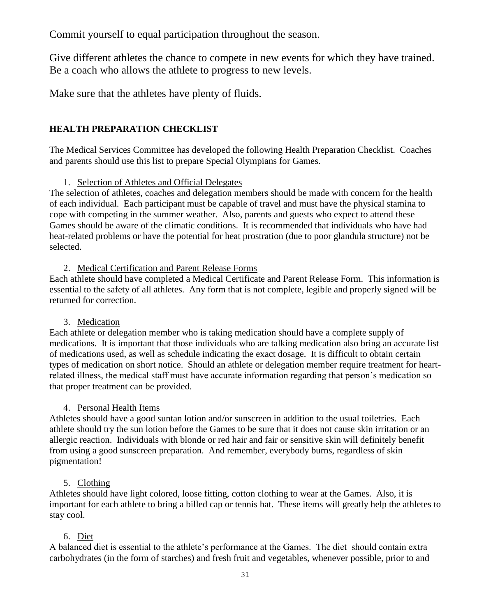Commit yourself to equal participation throughout the season.

Give different athletes the chance to compete in new events for which they have trained. Be a coach who allows the athlete to progress to new levels.

Make sure that the athletes have plenty of fluids.

## **HEALTH PREPARATION CHECKLIST**

The Medical Services Committee has developed the following Health Preparation Checklist. Coaches and parents should use this list to prepare Special Olympians for Games.

## 1. Selection of Athletes and Official Delegates

The selection of athletes, coaches and delegation members should be made with concern for the health of each individual. Each participant must be capable of travel and must have the physical stamina to cope with competing in the summer weather. Also, parents and guests who expect to attend these Games should be aware of the climatic conditions. It is recommended that individuals who have had heat-related problems or have the potential for heat prostration (due to poor glandula structure) not be selected.

## 2. Medical Certification and Parent Release Forms

Each athlete should have completed a Medical Certificate and Parent Release Form. This information is essential to the safety of all athletes. Any form that is not complete, legible and properly signed will be returned for correction.

## 3. Medication

Each athlete or delegation member who is taking medication should have a complete supply of medications. It is important that those individuals who are talking medication also bring an accurate list of medications used, as well as schedule indicating the exact dosage. It is difficult to obtain certain types of medication on short notice. Should an athlete or delegation member require treatment for heartrelated illness, the medical staff must have accurate information regarding that person's medication so that proper treatment can be provided.

## 4. Personal Health Items

Athletes should have a good suntan lotion and/or sunscreen in addition to the usual toiletries. Each athlete should try the sun lotion before the Games to be sure that it does not cause skin irritation or an allergic reaction. Individuals with blonde or red hair and fair or sensitive skin will definitely benefit from using a good sunscreen preparation. And remember, everybody burns, regardless of skin pigmentation!

## 5. Clothing

Athletes should have light colored, loose fitting, cotton clothing to wear at the Games. Also, it is important for each athlete to bring a billed cap or tennis hat. These items will greatly help the athletes to stay cool.

## 6. Diet

A balanced diet is essential to the athlete's performance at the Games. The diet should contain extra carbohydrates (in the form of starches) and fresh fruit and vegetables, whenever possible, prior to and